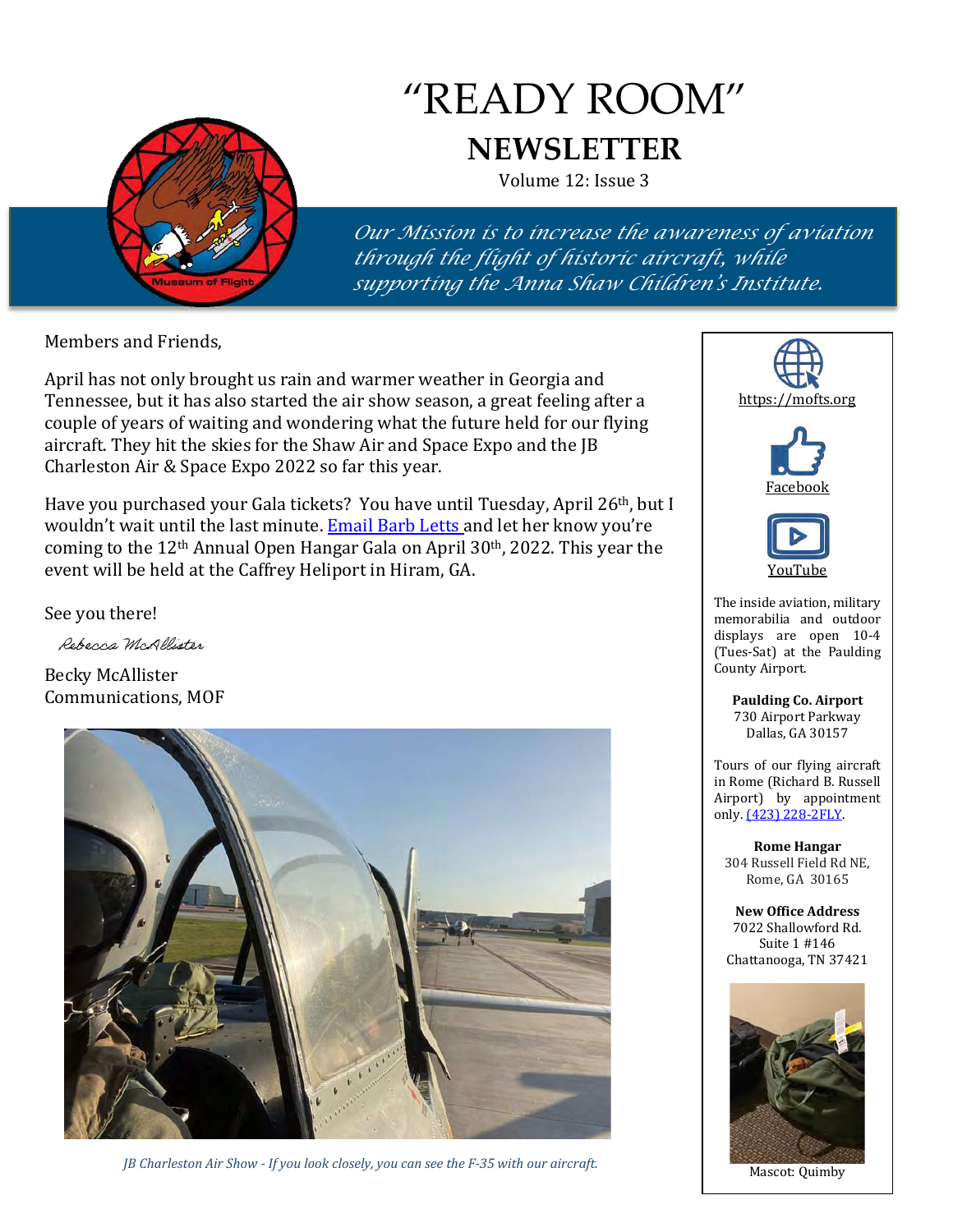

# "READY ROOM" **NEWSLETTER**

Volume 12: Issue 3

*Our Mission is to increase the awareness of aviation through the flight of historic aircraft, while supporting the Anna Shaw Children's Institute.*

Members and Friends,

April has not only brought us rain and warmer weather in Georgia and Tennessee, but it has also started the air show season, a great feeling after a couple of years of waiting and wondering what the future held for our flying aircraft. They hit the skies for the Shaw Air and Space Expo and the JB Charleston Air & Space Expo 2022 so far this year.

Have you purchased your Gala tickets? You have until Tuesday, April 26th, but I wouldn't wait until the last minute. **Email Barb Letts and let her know you're** coming to the 12th Annual Open Hangar Gala on April 30th, 2022. This year the event will be held at the Caffrey Heliport in Hiram, GA.

See you there!

Rebecca McAllister

Becky McAllister Communications, MOF



*JB Charleston Air Show - If you look closely, you can see the F-35 with our aircraft.*





Mascot: Quimby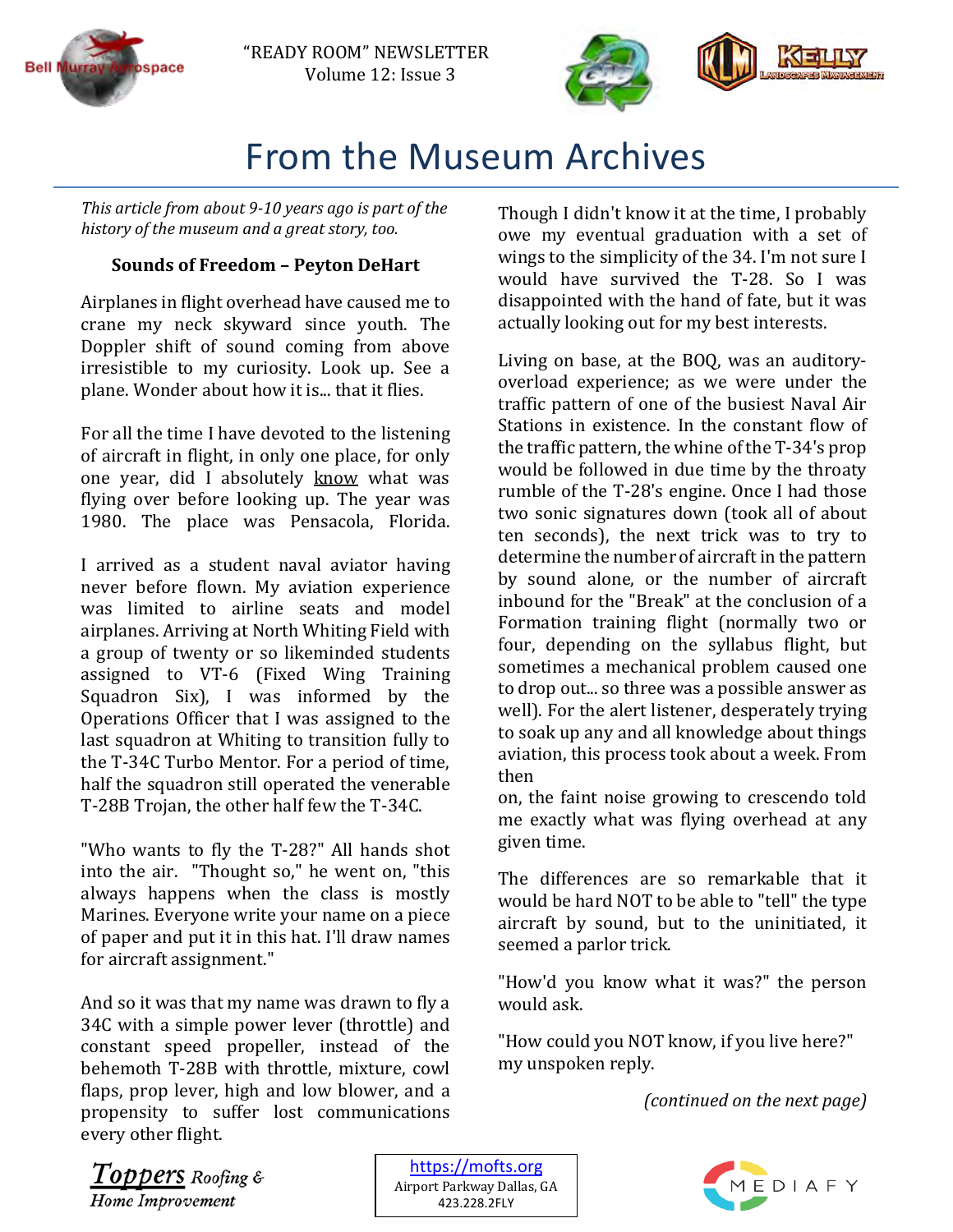



## From the Museum Archives

*This article from about 9-10 years ago is part of the history of the museum and a great story, too.*

#### **Sounds of Freedom – Peyton DeHart**

Airplanes in flight overhead have caused me to crane my neck skyward since youth. The Doppler shift of sound coming from above irresistible to my curiosity. Look up. See a plane. Wonder about how it is... that it flies.

For all the time I have devoted to the listening of aircraft in flight, in only one place, for only one year, did I absolutely know what was flying over before looking up. The year was 1980. The place was Pensacola, Florida.

I arrived as a student naval aviator having never before flown. My aviation experience was limited to airline seats and model airplanes. Arriving at North Whiting Field with a group of twenty or so likeminded students assigned to VT-6 (Fixed Wing Training Squadron Six), I was informed by the Operations Officer that I was assigned to the last squadron at Whiting to transition fully to the T-34C Turbo Mentor. For a period of time, half the squadron still operated the venerable T-28B Trojan, the other half few the T-34C.

"Who wants to fly the T-28?" All hands shot into the air. "Thought so," he went on, "this always happens when the class is mostly Marines. Everyone write your name on a piece of paper and put it in this hat. I'll draw names for aircraft assignment."

And so it was that my name was drawn to fly a 34C with a simple power lever (throttle) and constant speed propeller, instead of the behemoth T-28B with throttle, mixture, cowl flaps, prop lever, high and low blower, and a propensity to suffer lost communications every other flight.

Though I didn't know it at the time, I probably owe my eventual graduation with a set of wings to the simplicity of the 34. I'm not sure I would have survived the T-28. So I was disappointed with the hand of fate, but it was actually looking out for my best interests.

Living on base, at the BOQ, was an auditoryoverload experience; as we were under the traffic pattern of one of the busiest Naval Air Stations in existence. In the constant flow of the traffic pattern, the whine of the T-34's prop would be followed in due time by the throaty rumble of the T-28's engine. Once I had those two sonic signatures down (took all of about ten seconds), the next trick was to try to determine the number of aircraft in the pattern by sound alone, or the number of aircraft inbound for the "Break" at the conclusion of a Formation training flight (normally two or four, depending on the syllabus flight, but sometimes a mechanical problem caused one to drop out... so three was a possible answer as well). For the alert listener, desperately trying to soak up any and all knowledge about things aviation, this process took about a week. From then

on, the faint noise growing to crescendo told me exactly what was flying overhead at any given time.

The differences are so remarkable that it would be hard NOT to be able to "tell" the type aircraft by sound, but to the uninitiated, it seemed a parlor trick.

"How'd you know what it was?" the person would ask.

"How could you NOT know, if you live here?" my unspoken reply.

*(continued on the next page)*

Toppers Roofing & Home Improvement

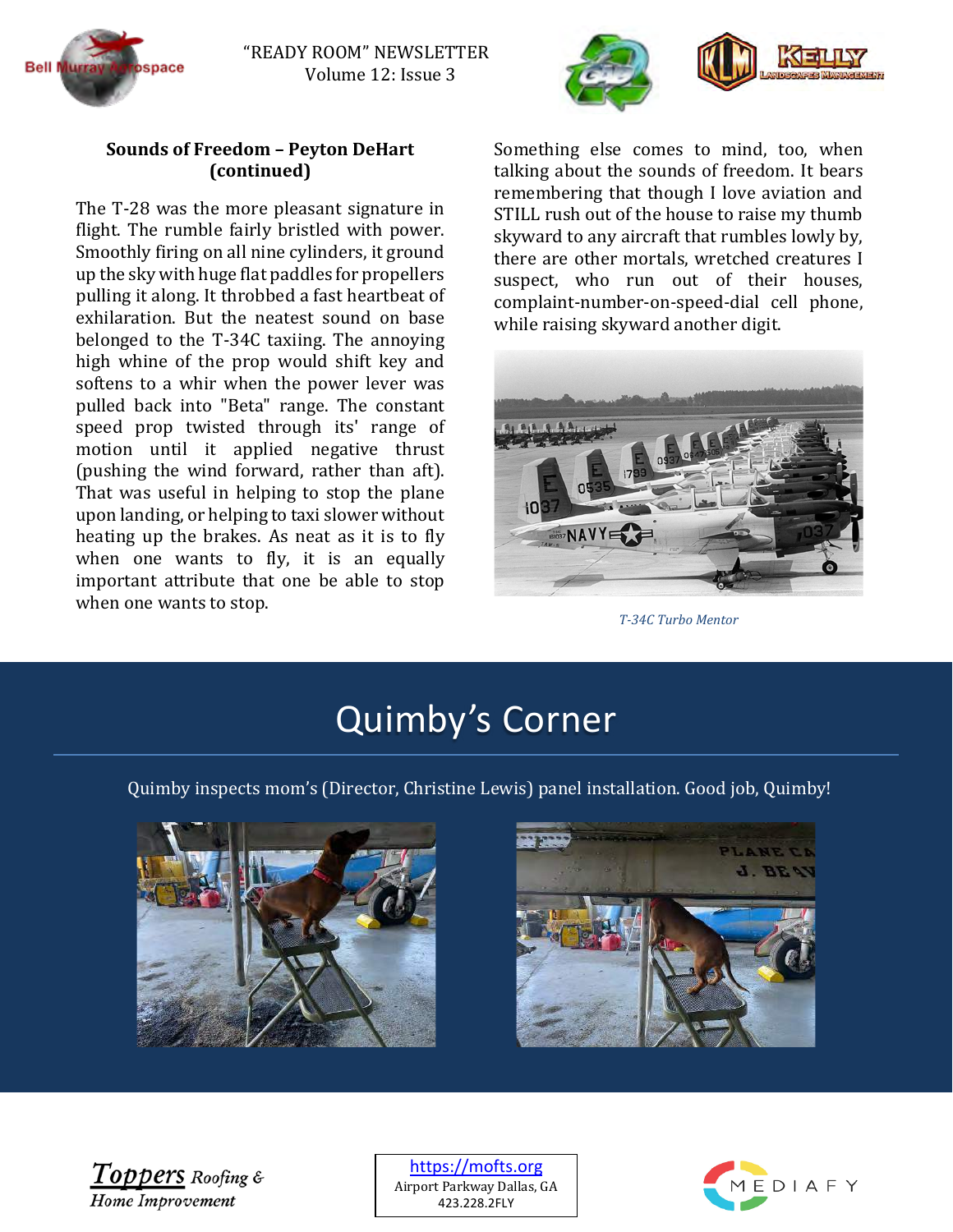



#### **Sounds of Freedom – Peyton DeHart (continued)**

The T-28 was the more pleasant signature in flight. The rumble fairly bristled with power. Smoothly firing on all nine cylinders, it ground up the sky with huge flat paddles for propellers pulling it along. It throbbed a fast heartbeat of exhilaration. But the neatest sound on base belonged to the T-34C taxiing. The annoying high whine of the prop would shift key and softens to a whir when the power lever was pulled back into "Beta" range. The constant speed prop twisted through its' range of motion until it applied negative thrust (pushing the wind forward, rather than aft). That was useful in helping to stop the plane upon landing, or helping to taxi slower without heating up the brakes. As neat as it is to fly when one wants to fly, it is an equally important attribute that one be able to stop when one wants to stop.

Something else comes to mind, too, when talking about the sounds of freedom. It bears remembering that though I love aviation and STILL rush out of the house to raise my thumb skyward to any aircraft that rumbles lowly by, there are other mortals, wretched creatures I suspect, who run out of their houses, complaint-number-on-speed-dial cell phone, while raising skyward another digit.



*T-34C Turbo Mentor*

# Quimby's Corner

Quimby inspects mom's (Director, Christine Lewis) panel installation. Good job, Quimby!





 $\bm{Top}$  pers Roofing & **Home Improvement** 

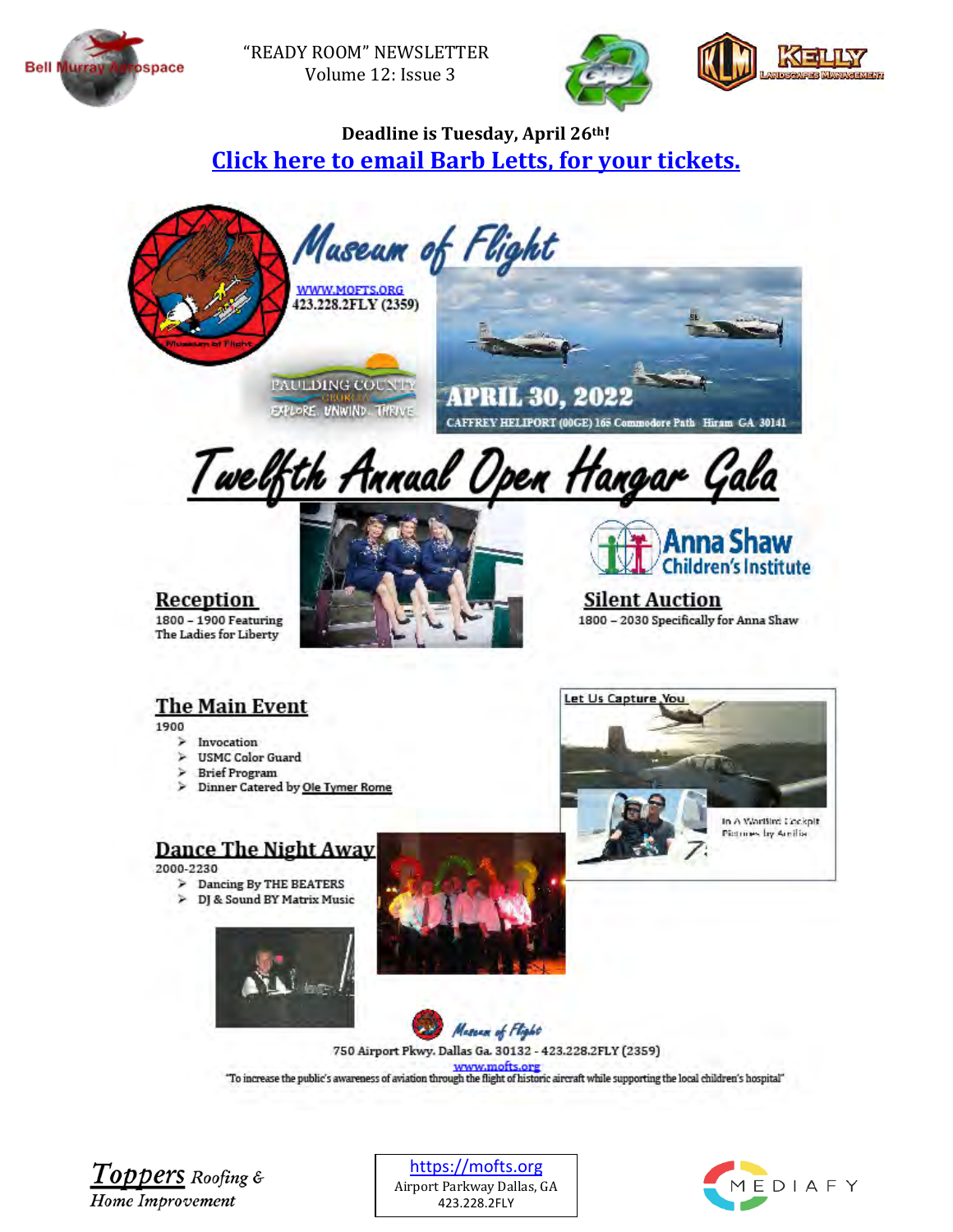



### Deadline is Tuesday, April 26th! **Click here to email Barb Letts, for your tickets.**



Twelfth Annual Open Hangar Gala







**Silent Auction** 1800 - 2030 Specifically for Anna Shaw

### **The Main Event**

1900

- $\geq$  Invocation
- > USMC Color Guard
- **Brief Program**
- > Dinner Catered by Ole Tymer Rome

#### Dance The Night Away

2000-2230

- > Dancing By THE BEATERS
- DJ & Sound BY Matrix Music 笋









750 Airport Pkwy. Dallas Ga. 30132 - 423.228.2FLY (2359)

"To increase the public's awareness of aviation through the flight of historic aircraft while supporting the local children's hospital"

 $Topters$  Roofing & Home Improvement

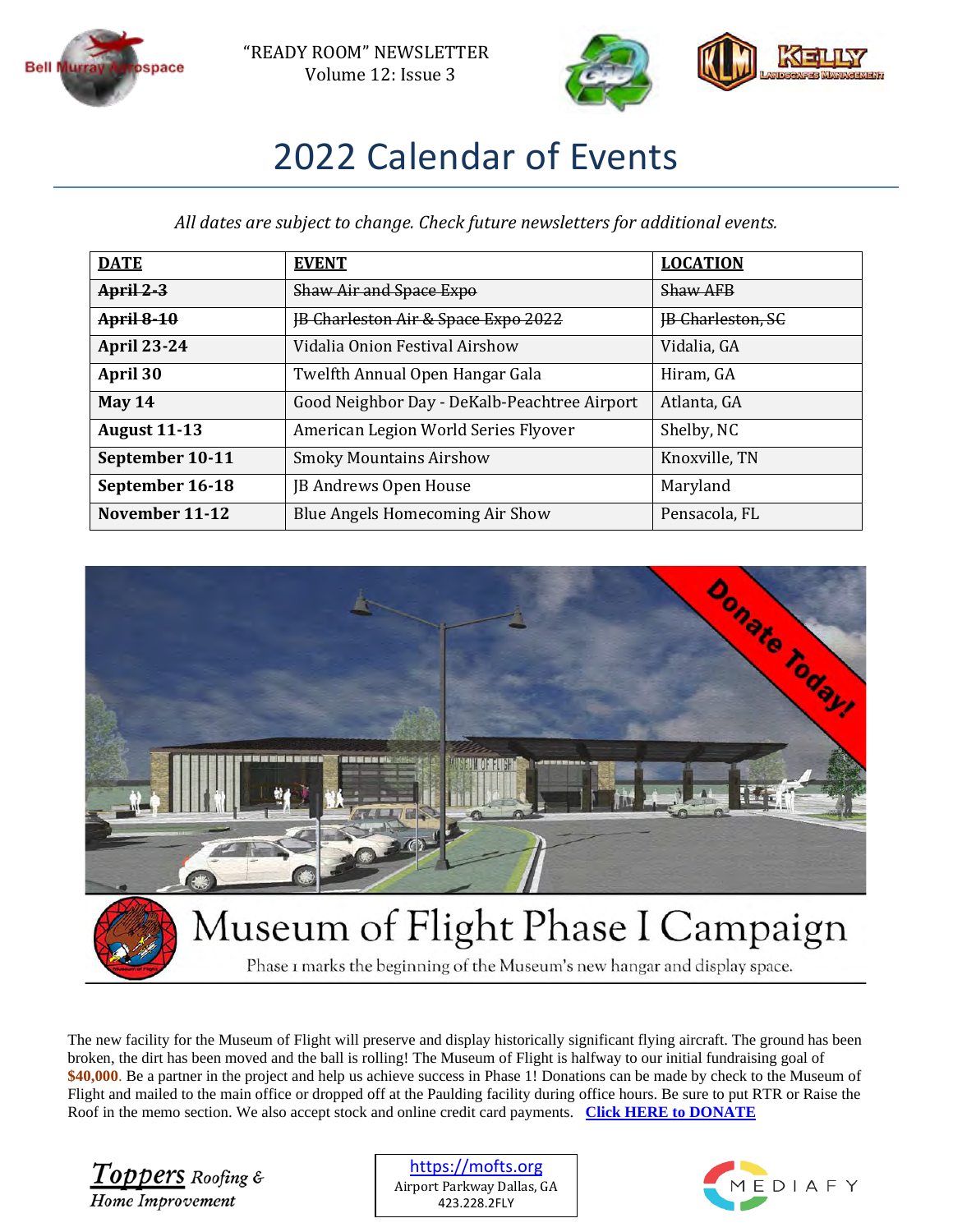



# 2022 Calendar of Events

*All dates are subject to change. Check future newsletters for additional events.* 

| <b>DATE</b>         | <b>EVENT</b>                                   | <b>LOCATION</b>          |
|---------------------|------------------------------------------------|--------------------------|
| $April 2-3$         | <b>Shaw Air and Space Expo</b>                 | <b>Shaw AFB</b>          |
| <b>April 8-10</b>   | <b>IB Charleston Air &amp; Space Expo 2022</b> | <b>IB Charleston, SC</b> |
| <b>April 23-24</b>  | Vidalia Onion Festival Airshow                 | Vidalia, GA              |
| April 30            | Twelfth Annual Open Hangar Gala                | Hiram, GA                |
| May $14$            | Good Neighbor Day - DeKalb-Peachtree Airport   | Atlanta, GA              |
| <b>August 11-13</b> | American Legion World Series Flyover           | Shelby, NC               |
| September 10-11     | <b>Smoky Mountains Airshow</b>                 | Knoxville, TN            |
| September 16-18     | JB Andrews Open House                          | Maryland                 |
| November 11-12      | Blue Angels Homecoming Air Show                | Pensacola, FL            |



Phase I marks the beginning of the Museum's new hangar and display space.

The new facility for the Museum of Flight will preserve and display historically significant flying aircraft. The ground has been broken, the dirt has been moved and the ball is rolling! The Museum of Flight is halfway to our initial fundraising goal of **\$40,000**. Be a partner in the project and help us achieve success in Phase 1! Donations can be made by check to the Museum of Flight and mailed to the main office or dropped off at the Paulding facility during office hours. Be sure to put RTR or Raise the Roof in the memo section. We also accept stock and online credit card payments. **[Click HERE to DONATE](https://tinyurl.com/mofraisetheroof)**

Toppers Roofing & Home Improvement